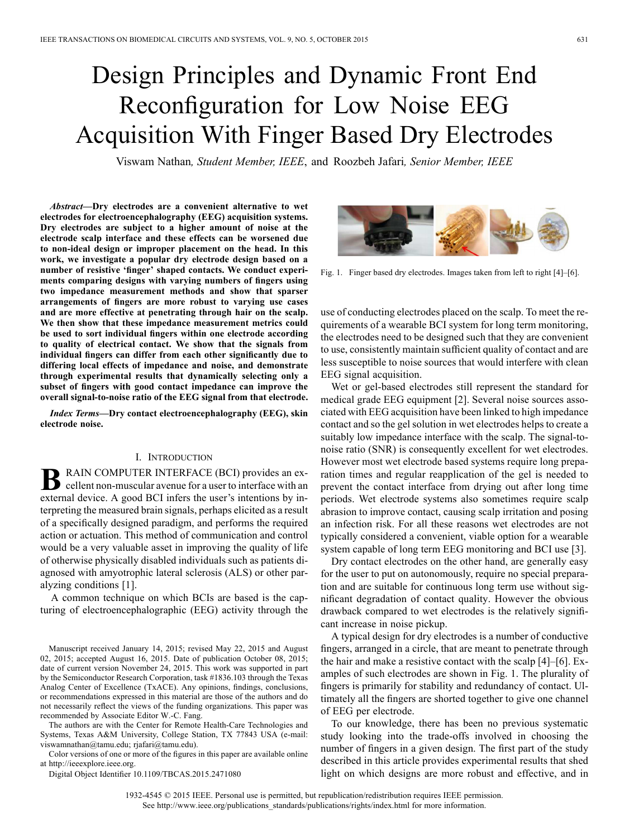# Design Principles and Dynamic Front End Reconfiguration for Low Noise EEG Acquisition With Finger Based Dry Electrodes

Viswam Nathan*, Student Member, IEEE*, and Roozbeh Jafari*, Senior Member, IEEE*

*Abstract—***Dry electrodes are a convenient alternative to wet electrodes for electroencephalography (EEG) acquisition systems. Dry electrodes are subject to a higher amount of noise at the electrode scalp interface and these effects can be worsened due to non-ideal design or improper placement on the head. In this work, we investigate a popular dry electrode design based on a number of resistive 'finger' shaped contacts. We conduct experiments comparing designs with varying numbers of fingers using two impedance measurement methods and show that sparser arrangements of fingers are more robust to varying use cases and are more effective at penetrating through hair on the scalp. We then show that these impedance measurement metrics could be used to sort individual fingers within one electrode according to quality of electrical contact. We show that the signals from individual fingers can differ from each other significantly due to differing local effects of impedance and noise, and demonstrate through experimental results that dynamically selecting only a subset of fingers with good contact impedance can improve the overall signal-to-noise ratio of the EEG signal from that electrode.**

*Index Terms—***Dry contact electroencephalography (EEG), skin electrode noise.**

# I. INTRODUCTION

**B**RAIN COMPUTER INTERFACE (BCI) provides an excellent non-muscular avenue for a user to interface with an external device. A good BCI infers the user's intentions by interpreting the measured brain signals, perhaps elicited as a result of a specifically designed paradigm, and performs the required action or actuation. This method of communication and control would be a very valuable asset in improving the quality of life of otherwise physically disabled individuals such as patients diagnosed with amyotrophic lateral sclerosis (ALS) or other paralyzing conditions [1].

A common technique on which BCIs are based is the capturing of electroencephalographic (EEG) activity through the

The authors are with the Center for Remote Health-Care Technologies and Systems, Texas A&M University, College Station, TX 77843 USA (e-mail: viswamnathan@tamu.edu; rjafari@tamu.edu).

Color versions of one or more of the figures in this paper are available online at http://ieeexplore.ieee.org.

Digital Object Identifier 10.1109/TBCAS.2015.2471080



Fig. 1. Finger based dry electrodes. Images taken from left to right [4]–[6].

use of conducting electrodes placed on the scalp. To meet the requirements of a wearable BCI system for long term monitoring, the electrodes need to be designed such that they are convenient to use, consistently maintain sufficient quality of contact and are less susceptible to noise sources that would interfere with clean EEG signal acquisition.

Wet or gel-based electrodes still represent the standard for medical grade EEG equipment [2]. Several noise sources associated with EEG acquisition have been linked to high impedance contact and so the gel solution in wet electrodes helps to create a suitably low impedance interface with the scalp. The signal-tonoise ratio (SNR) is consequently excellent for wet electrodes. However most wet electrode based systems require long preparation times and regular reapplication of the gel is needed to prevent the contact interface from drying out after long time periods. Wet electrode systems also sometimes require scalp abrasion to improve contact, causing scalp irritation and posing an infection risk. For all these reasons wet electrodes are not typically considered a convenient, viable option for a wearable system capable of long term EEG monitoring and BCI use [3].

Dry contact electrodes on the other hand, are generally easy for the user to put on autonomously, require no special preparation and are suitable for continuous long term use without significant degradation of contact quality. However the obvious drawback compared to wet electrodes is the relatively significant increase in noise pickup.

A typical design for dry electrodes is a number of conductive fingers, arranged in a circle, that are meant to penetrate through the hair and make a resistive contact with the scalp [4]–[6]. Examples of such electrodes are shown in Fig. 1. The plurality of fingers is primarily for stability and redundancy of contact. Ultimately all the fingers are shorted together to give one channel of EEG per electrode.

To our knowledge, there has been no previous systematic study looking into the trade-offs involved in choosing the number of fingers in a given design. The first part of the study described in this article provides experimental results that shed light on which designs are more robust and effective, and in

1932-4545 © 2015 IEEE. Personal use is permitted, but republication/redistribution requires IEEE permission. See http://www.ieee.org/publications\_standards/publications/rights/index.html for more information.

Manuscript received January 14, 2015; revised May 22, 2015 and August 02, 2015; accepted August 16, 2015. Date of publication October 08, 2015; date of current version November 24, 2015. This work was supported in part by the Semiconductor Research Corporation, task #1836.103 through the Texas Analog Center of Excellence (TxACE). Any opinions, findings, conclusions, or recommendations expressed in this material are those of the authors and do not necessarily reflect the views of the funding organizations. This paper was recommended by Associate Editor W.-C. Fang.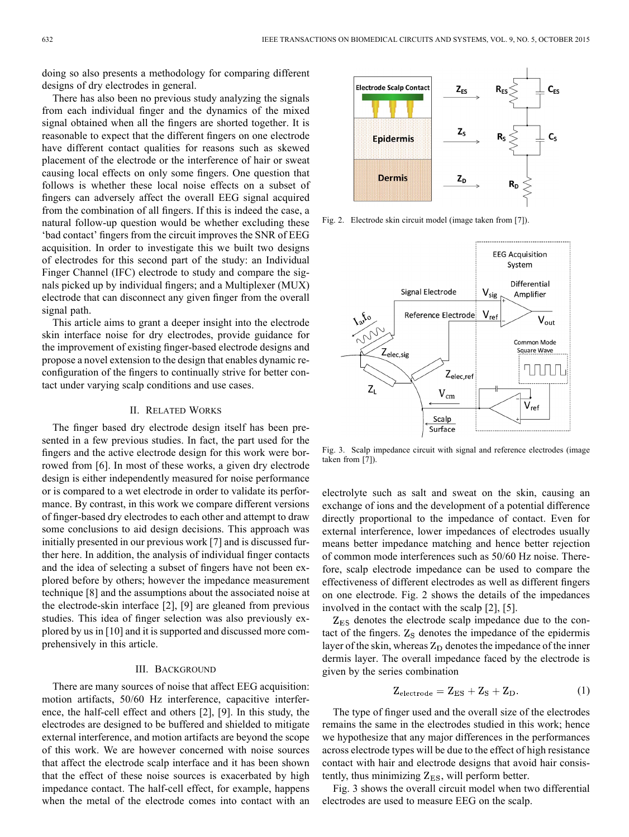doing so also presents a methodology for comparing different designs of dry electrodes in general.

There has also been no previous study analyzing the signals from each individual finger and the dynamics of the mixed signal obtained when all the fingers are shorted together. It is reasonable to expect that the different fingers on one electrode have different contact qualities for reasons such as skewed placement of the electrode or the interference of hair or sweat causing local effects on only some fingers. One question that follows is whether these local noise effects on a subset of fingers can adversely affect the overall EEG signal acquired from the combination of all fingers. If this is indeed the case, a natural follow-up question would be whether excluding these 'bad contact' fingers from the circuit improves the SNR of EEG acquisition. In order to investigate this we built two designs of electrodes for this second part of the study: an Individual Finger Channel (IFC) electrode to study and compare the signals picked up by individual fingers; and a Multiplexer (MUX) electrode that can disconnect any given finger from the overall signal path.

This article aims to grant a deeper insight into the electrode skin interface noise for dry electrodes, provide guidance for the improvement of existing finger-based electrode designs and propose a novel extension to the design that enables dynamic reconfiguration of the fingers to continually strive for better contact under varying scalp conditions and use cases.

## II. RELATED WORKS

The finger based dry electrode design itself has been presented in a few previous studies. In fact, the part used for the fingers and the active electrode design for this work were borrowed from [6]. In most of these works, a given dry electrode design is either independently measured for noise performance or is compared to a wet electrode in order to validate its performance. By contrast, in this work we compare different versions of finger-based dry electrodes to each other and attempt to draw some conclusions to aid design decisions. This approach was initially presented in our previous work [7] and is discussed further here. In addition, the analysis of individual finger contacts and the idea of selecting a subset of fingers have not been explored before by others; however the impedance measurement technique [8] and the assumptions about the associated noise at the electrode-skin interface [2], [9] are gleaned from previous studies. This idea of finger selection was also previously explored by us in [10] and it is supported and discussed more comprehensively in this article.

#### III. BACKGROUND

There are many sources of noise that affect EEG acquisition: motion artifacts, 50/60 Hz interference, capacitive interference, the half-cell effect and others [2], [9]. In this study, the electrodes are designed to be buffered and shielded to mitigate external interference, and motion artifacts are beyond the scope of this work. We are however concerned with noise sources that affect the electrode scalp interface and it has been shown that the effect of these noise sources is exacerbated by high impedance contact. The half-cell effect, for example, happens when the metal of the electrode comes into contact with an



Fig. 2. Electrode skin circuit model (image taken from [7]).



Fig. 3. Scalp impedance circuit with signal and reference electrodes (image taken from [7]).

electrolyte such as salt and sweat on the skin, causing an exchange of ions and the development of a potential difference directly proportional to the impedance of contact. Even for external interference, lower impedances of electrodes usually means better impedance matching and hence better rejection of common mode interferences such as 50/60 Hz noise. Therefore, scalp electrode impedance can be used to compare the effectiveness of different electrodes as well as different fingers on one electrode. Fig. 2 shows the details of the impedances involved in the contact with the scalp [2], [5].

 $Z_{ES}$  denotes the electrode scalp impedance due to the contact of the fingers.  $Z<sub>S</sub>$  denotes the impedance of the epidermis layer of the skin, whereas  $Z_D$  denotes the impedance of the inner dermis layer. The overall impedance faced by the electrode is given by the series combination

$$
Z_{\text{electrode}} = Z_{\text{ES}} + Z_{\text{S}} + Z_{\text{D}}.\tag{1}
$$

The type of finger used and the overall size of the electrodes remains the same in the electrodes studied in this work; hence we hypothesize that any major differences in the performances across electrode types will be due to the effect of high resistance contact with hair and electrode designs that avoid hair consistently, thus minimizing  $Z_{ES}$ , will perform better.

Fig. 3 shows the overall circuit model when two differential electrodes are used to measure EEG on the scalp.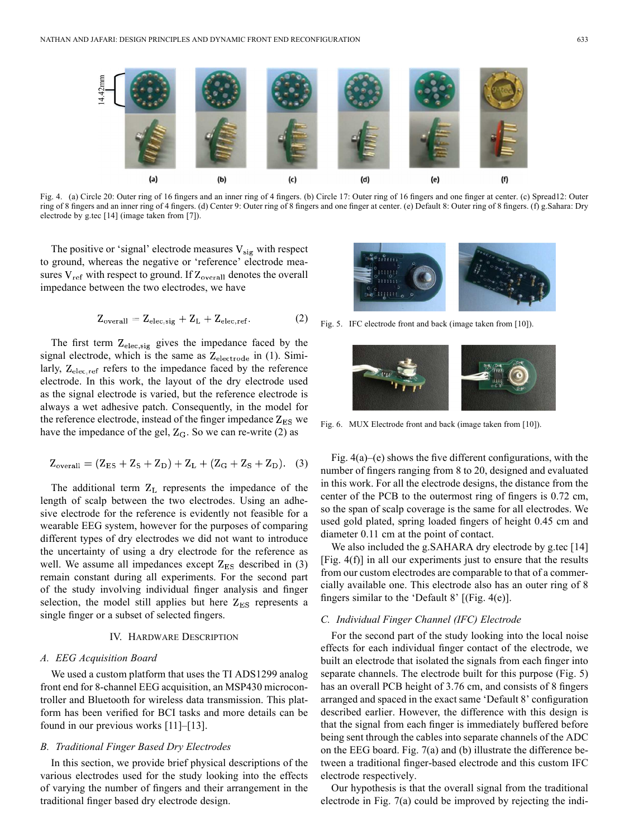

Fig. 4. (a) Circle 20: Outer ring of 16 fingers and an inner ring of 4 fingers. (b) Circle 17: Outer ring of 16 fingers and one finger at center. (c) Spread12: Outer ring of 8 fingers and an inner ring of 4 fingers. (d) Center 9: Outer ring of 8 fingers and one finger at center. (e) Default 8: Outer ring of 8 fingers. (f) g.Sahara: Dry electrode by g.tec [14] (image taken from [7]).

The positive or 'signal' electrode measures  $V_{sig}$  with respect to ground, whereas the negative or 'reference' electrode measures  $V_{ref}$  with respect to ground. If  $Z_{overall}$  denotes the overall impedance between the two electrodes, we have

$$
Z_{\text{overall}} = Z_{\text{elec,sig}} + Z_{\text{L}} + Z_{\text{elec,ref}}.\tag{2}
$$

The first term  $Z_{elec,sig}$  gives the impedance faced by the signal electrode, which is the same as  $Z_{\text{electrode}}$  in (1). Similarly,  $Z_{elec, ref}$  refers to the impedance faced by the reference electrode. In this work, the layout of the dry electrode used as the signal electrode is varied, but the reference electrode is always a wet adhesive patch. Consequently, in the model for the reference electrode, instead of the finger impedance  $Z_{ES}$  we have the impedance of the gel,  $Z_G$ . So we can re-write (2) as

$$
Z_{\text{overall}} = (Z_{\text{ES}} + Z_{\text{S}} + Z_{\text{D}}) + Z_{\text{L}} + (Z_{\text{G}} + Z_{\text{S}} + Z_{\text{D}}). \quad (3)
$$

The additional term  $Z_L$  represents the impedance of the length of scalp between the two electrodes. Using an adhesive electrode for the reference is evidently not feasible for a wearable EEG system, however for the purposes of comparing different types of dry electrodes we did not want to introduce the uncertainty of using a dry electrode for the reference as well. We assume all impedances except  $Z_{ES}$  described in (3) remain constant during all experiments. For the second part of the study involving individual finger analysis and finger selection, the model still applies but here  $Z_{ES}$  represents a single finger or a subset of selected fingers.

#### IV. HARDWARE DESCRIPTION

#### *A. EEG Acquisition Board*

We used a custom platform that uses the TI ADS1299 analog front end for 8-channel EEG acquisition, an MSP430 microcontroller and Bluetooth for wireless data transmission. This platform has been verified for BCI tasks and more details can be found in our previous works [11]–[13].

#### *B. Traditional Finger Based Dry Electrodes*

In this section, we provide brief physical descriptions of the various electrodes used for the study looking into the effects of varying the number of fingers and their arrangement in the traditional finger based dry electrode design.



Fig. 5. IFC electrode front and back (image taken from [10]).



Fig. 6. MUX Electrode front and back (image taken from [10]).

Fig. 4(a)–(e) shows the five different configurations, with the number of fingers ranging from 8 to 20, designed and evaluated in this work. For all the electrode designs, the distance from the center of the PCB to the outermost ring of fingers is 0.72 cm, so the span of scalp coverage is the same for all electrodes. We used gold plated, spring loaded fingers of height 0.45 cm and diameter 0.11 cm at the point of contact.

We also included the g.SAHARA dry electrode by g.tec [14] [Fig. 4(f)] in all our experiments just to ensure that the results from our custom electrodes are comparable to that of a commercially available one. This electrode also has an outer ring of 8 fingers similar to the 'Default  $8'$  [(Fig. 4(e)].

## *C. Individual Finger Channel (IFC) Electrode*

For the second part of the study looking into the local noise effects for each individual finger contact of the electrode, we built an electrode that isolated the signals from each finger into separate channels. The electrode built for this purpose (Fig. 5) has an overall PCB height of 3.76 cm, and consists of 8 fingers arranged and spaced in the exact same 'Default 8' configuration described earlier. However, the difference with this design is that the signal from each finger is immediately buffered before being sent through the cables into separate channels of the ADC on the EEG board. Fig. 7(a) and (b) illustrate the difference between a traditional finger-based electrode and this custom IFC electrode respectively.

Our hypothesis is that the overall signal from the traditional electrode in Fig. 7(a) could be improved by rejecting the indi-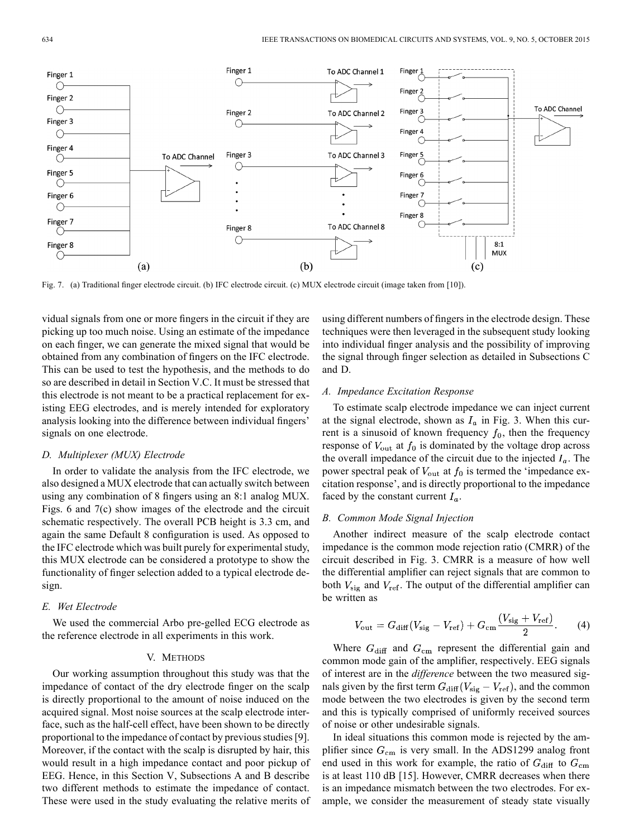

Fig. 7. (a) Traditional finger electrode circuit. (b) IFC electrode circuit. (c) MUX electrode circuit (image taken from [10]).

vidual signals from one or more fingers in the circuit if they are picking up too much noise. Using an estimate of the impedance on each finger, we can generate the mixed signal that would be obtained from any combination of fingers on the IFC electrode. This can be used to test the hypothesis, and the methods to do so are described in detail in Section V.C. It must be stressed that this electrode is not meant to be a practical replacement for existing EEG electrodes, and is merely intended for exploratory analysis looking into the difference between individual fingers' signals on one electrode.

# *D. Multiplexer (MUX) Electrode*

In order to validate the analysis from the IFC electrode, we also designed a MUX electrode that can actually switch between using any combination of 8 fingers using an 8:1 analog MUX. Figs. 6 and 7(c) show images of the electrode and the circuit schematic respectively. The overall PCB height is 3.3 cm, and again the same Default 8 configuration is used. As opposed to the IFC electrode which was built purely for experimental study, this MUX electrode can be considered a prototype to show the functionality of finger selection added to a typical electrode design.

## *E. Wet Electrode*

We used the commercial Arbo pre-gelled ECG electrode as the reference electrode in all experiments in this work.

## V. METHODS

Our working assumption throughout this study was that the impedance of contact of the dry electrode finger on the scalp is directly proportional to the amount of noise induced on the acquired signal. Most noise sources at the scalp electrode interface, such as the half-cell effect, have been shown to be directly proportional to the impedance of contact by previous studies [9]. Moreover, if the contact with the scalp is disrupted by hair, this would result in a high impedance contact and poor pickup of EEG. Hence, in this Section V, Subsections A and B describe two different methods to estimate the impedance of contact. These were used in the study evaluating the relative merits of using different numbers of fingers in the electrode design. These techniques were then leveraged in the subsequent study looking into individual finger analysis and the possibility of improving the signal through finger selection as detailed in Subsections C and D.

## *A. Impedance Excitation Response*

To estimate scalp electrode impedance we can inject current at the signal electrode, shown as  $I_a$  in Fig. 3. When this current is a sinusoid of known frequency  $f_0$ , then the frequency response of  $V_{\text{out}}$  at  $f_0$  is dominated by the voltage drop across the overall impedance of the circuit due to the injected  $I_a$ . The power spectral peak of  $V_{\text{out}}$  at  $f_0$  is termed the 'impedance excitation response', and is directly proportional to the impedance faced by the constant current  $I_a$ .

#### *B. Common Mode Signal Injection*

Another indirect measure of the scalp electrode contact impedance is the common mode rejection ratio (CMRR) of the circuit described in Fig. 3. CMRR is a measure of how well the differential amplifier can reject signals that are common to both  $V_{\text{sig}}$  and  $V_{\text{ref}}$ . The output of the differential amplifier can be written as

$$
V_{\text{out}} = G_{\text{diff}}(V_{\text{sig}} - V_{\text{ref}}) + G_{\text{cm}} \frac{(V_{\text{sig}} + V_{\text{ref}})}{2}.
$$
 (4)

Where  $G_{\text{diff}}$  and  $G_{\text{cm}}$  represent the differential gain and common mode gain of the amplifier, respectively. EEG signals of interest are in the *difference* between the two measured signals given by the first term  $G_{\text{diff}}(V_{\text{sig}} - V_{\text{ref}})$ , and the common mode between the two electrodes is given by the second term and this is typically comprised of uniformly received sources of noise or other undesirable signals.

In ideal situations this common mode is rejected by the amplifier since  $G<sub>cm</sub>$  is very small. In the ADS1299 analog front end used in this work for example, the ratio of  $G_{\text{diff}}$  to  $G_{\text{cm}}$ is at least 110 dB [15]. However, CMRR decreases when there is an impedance mismatch between the two electrodes. For example, we consider the measurement of steady state visually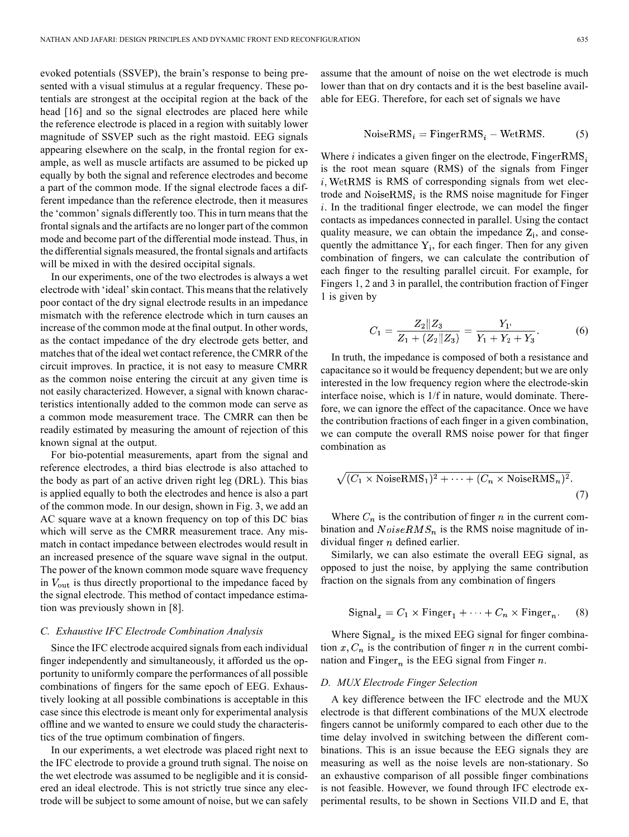evoked potentials (SSVEP), the brain's response to being presented with a visual stimulus at a regular frequency. These potentials are strongest at the occipital region at the back of the head [16] and so the signal electrodes are placed here while the reference electrode is placed in a region with suitably lower magnitude of SSVEP such as the right mastoid. EEG signals appearing elsewhere on the scalp, in the frontal region for example, as well as muscle artifacts are assumed to be picked up equally by both the signal and reference electrodes and become a part of the common mode. If the signal electrode faces a different impedance than the reference electrode, then it measures the 'common' signals differently too. This in turn means that the frontal signals and the artifacts are no longer part of the common mode and become part of the differential mode instead. Thus, in the differential signals measured, the frontal signals and artifacts will be mixed in with the desired occipital signals.

In our experiments, one of the two electrodes is always a wet electrode with 'ideal' skin contact. This means that the relatively poor contact of the dry signal electrode results in an impedance mismatch with the reference electrode which in turn causes an increase of the common mode at the final output. In other words, as the contact impedance of the dry electrode gets better, and matches that of the ideal wet contact reference, the CMRR of the circuit improves. In practice, it is not easy to measure CMRR as the common noise entering the circuit at any given time is not easily characterized. However, a signal with known characteristics intentionally added to the common mode can serve as a common mode measurement trace. The CMRR can then be readily estimated by measuring the amount of rejection of this known signal at the output.

For bio-potential measurements, apart from the signal and reference electrodes, a third bias electrode is also attached to the body as part of an active driven right leg (DRL). This bias is applied equally to both the electrodes and hence is also a part of the common mode. In our design, shown in Fig. 3, we add an AC square wave at a known frequency on top of this DC bias which will serve as the CMRR measurement trace. Any mismatch in contact impedance between electrodes would result in an increased presence of the square wave signal in the output. The power of the known common mode square wave frequency in  $V_{\text{out}}$  is thus directly proportional to the impedance faced by the signal electrode. This method of contact impedance estimation was previously shown in [8].

## *C. Exhaustive IFC Electrode Combination Analysis*

Since the IFC electrode acquired signals from each individual finger independently and simultaneously, it afforded us the opportunity to uniformly compare the performances of all possible combinations of fingers for the same epoch of EEG. Exhaustively looking at all possible combinations is acceptable in this case since this electrode is meant only for experimental analysis offline and we wanted to ensure we could study the characteristics of the true optimum combination of fingers.

In our experiments, a wet electrode was placed right next to the IFC electrode to provide a ground truth signal. The noise on the wet electrode was assumed to be negligible and it is considered an ideal electrode. This is not strictly true since any electrode will be subject to some amount of noise, but we can safely assume that the amount of noise on the wet electrode is much lower than that on dry contacts and it is the best baseline available for EEG. Therefore, for each set of signals we have

$$
NoiseRMSi = FingerRMSi - WetRMS.
$$
 (5)

Where *i* indicates a given finger on the electrode,  $\text{FingerRMS}_i$ is the root mean square (RMS) of the signals from Finger  $i$ , WetRMS is RMS of corresponding signals from wet electrode and  $\text{NoiseRMS}_i$  is the RMS noise magnitude for Finger  $i$ . In the traditional finger electrode, we can model the finger contacts as impedances connected in parallel. Using the contact quality measure, we can obtain the impedance  $Z_i$ , and consequently the admittance  $Y_i$ , for each finger. Then for any given combination of fingers, we can calculate the contribution of each finger to the resulting parallel circuit. For example, for Fingers 1, 2 and 3 in parallel, the contribution fraction of Finger 1 is given by

$$
C_1 = \frac{Z_2 || Z_3}{Z_1 + (Z_2 || Z_3)} = \frac{Y_1}{Y_1 + Y_2 + Y_3}.
$$
 (6)

In truth, the impedance is composed of both a resistance and capacitance so it would be frequency dependent; but we are only interested in the low frequency region where the electrode-skin interface noise, which is 1/f in nature, would dominate. Therefore, we can ignore the effect of the capacitance. Once we have the contribution fractions of each finger in a given combination, we can compute the overall RMS noise power for that finger combination as

$$
\sqrt{(C_1 \times \text{NoiseRMS}_1)^2 + \dots + (C_n \times \text{NoiseRMS}_n)^2}.
$$
\n(7)

Where  $C_n$  is the contribution of finger n in the current combination and  $NoiseRMS_n$  is the RMS noise magnitude of individual finger  $n$  defined earlier.

Similarly, we can also estimate the overall EEG signal, as opposed to just the noise, by applying the same contribution fraction on the signals from any combination of fingers

$$
Signalx = C1 \times \text{Finger}1 + \dots + Cn \times \text{Finger}n.
$$
 (8)

Where  $Signal<sub>x</sub>$  is the mixed EEG signal for finger combination  $x, C_n$  is the contribution of finger n in the current combination and  $\text{Finger}_n$  is the EEG signal from Finger n.

# *D. MUX Electrode Finger Selection*

A key difference between the IFC electrode and the MUX electrode is that different combinations of the MUX electrode fingers cannot be uniformly compared to each other due to the time delay involved in switching between the different combinations. This is an issue because the EEG signals they are measuring as well as the noise levels are non-stationary. So an exhaustive comparison of all possible finger combinations is not feasible. However, we found through IFC electrode experimental results, to be shown in Sections VII.D and E, that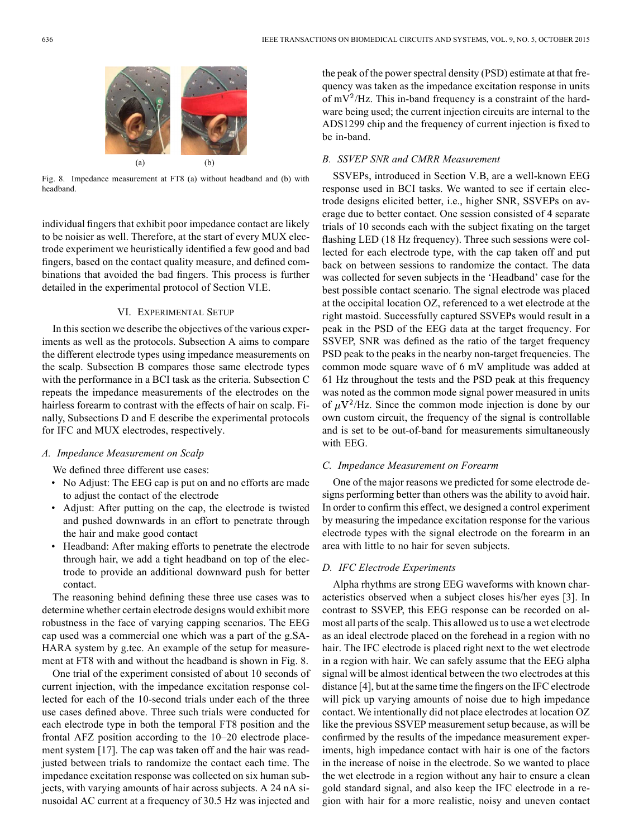

Fig. 8. Impedance measurement at FT8 (a) without headband and (b) with headband.

individual fingers that exhibit poor impedance contact are likely to be noisier as well. Therefore, at the start of every MUX electrode experiment we heuristically identified a few good and bad fingers, based on the contact quality measure, and defined combinations that avoided the bad fingers. This process is further detailed in the experimental protocol of Section VI.E.

## VI. EXPERIMENTAL SETUP

In this section we describe the objectives of the various experiments as well as the protocols. Subsection A aims to compare the different electrode types using impedance measurements on the scalp. Subsection B compares those same electrode types with the performance in a BCI task as the criteria. Subsection C repeats the impedance measurements of the electrodes on the hairless forearm to contrast with the effects of hair on scalp. Finally, Subsections D and E describe the experimental protocols for IFC and MUX electrodes, respectively.

#### *A. Impedance Measurement on Scalp*

We defined three different use cases:

- No Adjust: The EEG cap is put on and no efforts are made to adjust the contact of the electrode
- Adjust: After putting on the cap, the electrode is twisted and pushed downwards in an effort to penetrate through the hair and make good contact
- Headband: After making efforts to penetrate the electrode through hair, we add a tight headband on top of the electrode to provide an additional downward push for better contact.

The reasoning behind defining these three use cases was to determine whether certain electrode designs would exhibit more robustness in the face of varying capping scenarios. The EEG cap used was a commercial one which was a part of the g.SA-HARA system by g.tec. An example of the setup for measurement at FT8 with and without the headband is shown in Fig. 8.

One trial of the experiment consisted of about 10 seconds of current injection, with the impedance excitation response collected for each of the 10-second trials under each of the three use cases defined above. Three such trials were conducted for each electrode type in both the temporal FT8 position and the frontal AFZ position according to the 10–20 electrode placement system [17]. The cap was taken off and the hair was readjusted between trials to randomize the contact each time. The impedance excitation response was collected on six human subjects, with varying amounts of hair across subjects. A 24 nA sinusoidal AC current at a frequency of 30.5 Hz was injected and

the peak of the power spectral density (PSD) estimate at that frequency was taken as the impedance excitation response in units of  $mV^2/Hz$ . This in-band frequency is a constraint of the hardware being used; the current injection circuits are internal to the ADS1299 chip and the frequency of current injection is fixed to be in-band.

# *B. SSVEP SNR and CMRR Measurement*

SSVEPs, introduced in Section V.B, are a well-known EEG response used in BCI tasks. We wanted to see if certain electrode designs elicited better, i.e., higher SNR, SSVEPs on average due to better contact. One session consisted of 4 separate trials of 10 seconds each with the subject fixating on the target flashing LED (18 Hz frequency). Three such sessions were collected for each electrode type, with the cap taken off and put back on between sessions to randomize the contact. The data was collected for seven subjects in the 'Headband' case for the best possible contact scenario. The signal electrode was placed at the occipital location OZ, referenced to a wet electrode at the right mastoid. Successfully captured SSVEPs would result in a peak in the PSD of the EEG data at the target frequency. For SSVEP, SNR was defined as the ratio of the target frequency PSD peak to the peaks in the nearby non-target frequencies. The common mode square wave of 6 mV amplitude was added at 61 Hz throughout the tests and the PSD peak at this frequency was noted as the common mode signal power measured in units of  $\mu$ V<sup>2</sup>/Hz. Since the common mode injection is done by our own custom circuit, the frequency of the signal is controllable and is set to be out-of-band for measurements simultaneously with EEG.

### *C. Impedance Measurement on Forearm*

One of the major reasons we predicted for some electrode designs performing better than others was the ability to avoid hair. In order to confirm this effect, we designed a control experiment by measuring the impedance excitation response for the various electrode types with the signal electrode on the forearm in an area with little to no hair for seven subjects.

## *D. IFC Electrode Experiments*

Alpha rhythms are strong EEG waveforms with known characteristics observed when a subject closes his/her eyes [3]. In contrast to SSVEP, this EEG response can be recorded on almost all parts of the scalp. This allowed us to use a wet electrode as an ideal electrode placed on the forehead in a region with no hair. The IFC electrode is placed right next to the wet electrode in a region with hair. We can safely assume that the EEG alpha signal will be almost identical between the two electrodes at this distance [4], but at the same time the fingers on the IFC electrode will pick up varying amounts of noise due to high impedance contact. We intentionally did not place electrodes at location OZ like the previous SSVEP measurement setup because, as will be confirmed by the results of the impedance measurement experiments, high impedance contact with hair is one of the factors in the increase of noise in the electrode. So we wanted to place the wet electrode in a region without any hair to ensure a clean gold standard signal, and also keep the IFC electrode in a region with hair for a more realistic, noisy and uneven contact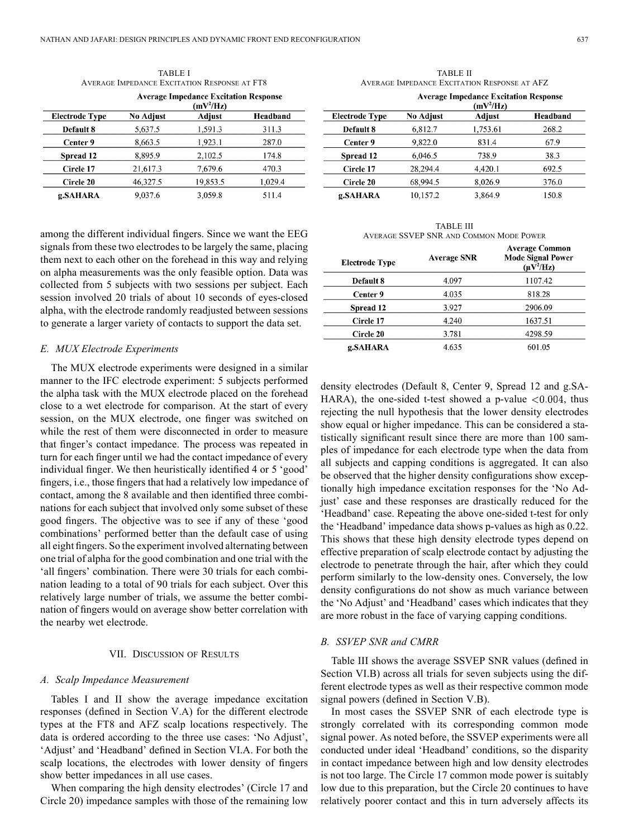| TABLE I<br><b>AVERAGE IMPEDANCE EXCITATION RESPONSE AT FT8</b> |                                                             |          |          |
|----------------------------------------------------------------|-------------------------------------------------------------|----------|----------|
|                                                                | <b>Average Impedance Excitation Response</b><br>$(mV^2/Hz)$ |          |          |
| <b>Electrode Type</b>                                          | No Adjust                                                   | Adjust   | Headband |
| Default 8                                                      | 5,637.5                                                     | 1,591.3  | 311.3    |
| Center 9                                                       | 8,663.5                                                     | 1,923.1  | 287.0    |
| Spread 12                                                      | 8,895.9                                                     | 2,102.5  | 174.8    |
| Circle 17                                                      | 21,617.3                                                    | 7,679.6  | 470.3    |
| <b>Circle 20</b>                                               | 46,327.5                                                    | 19,853.5 | 1,029.4  |
| g.SAHARA                                                       | 9,037.6                                                     | 3,059.8  | 511.4    |

TABLE II AVERAGE IMPEDANCE EXCITATION RESPONSE AT AFZ **Average Impedance Excitation Response** 

|                       |           | $(mV^2/Hz)$ |          |
|-----------------------|-----------|-------------|----------|
| <b>Electrode Type</b> | No Adjust | Adjust      | Headband |
| Default 8             | 6,812.7   | 1,753.61    | 268.2    |
| Center 9              | 9.822.0   | 831.4       | 67.9     |
| Spread 12             | 6,046.5   | 738.9       | 38.3     |
| Circle 17             | 28,294.4  | 4,420.1     | 692.5    |
| Circle 20             | 68,994.5  | 8,026.9     | 376.0    |
| g.SAHARA              | 10,157.2  | 3,864.9     | 150.8    |

among the different individual fingers. Since we want the EEG signals from these two electrodes to be largely the same, placing them next to each other on the forehead in this way and relying on alpha measurements was the only feasible option. Data was collected from 5 subjects with two sessions per subject. Each session involved 20 trials of about 10 seconds of eyes-closed alpha, with the electrode randomly readjusted between sessions to generate a larger variety of contacts to support the data set.

## *E. MUX Electrode Experiments*

The MUX electrode experiments were designed in a similar manner to the IFC electrode experiment: 5 subjects performed the alpha task with the MUX electrode placed on the forehead close to a wet electrode for comparison. At the start of every session, on the MUX electrode, one finger was switched on while the rest of them were disconnected in order to measure that finger's contact impedance. The process was repeated in turn for each finger until we had the contact impedance of every individual finger. We then heuristically identified 4 or 5 'good' fingers, i.e., those fingers that had a relatively low impedance of contact, among the 8 available and then identified three combinations for each subject that involved only some subset of these good fingers. The objective was to see if any of these 'good combinations' performed better than the default case of using all eight fingers. So the experiment involved alternating between one trial of alpha for the good combination and one trial with the 'all fingers' combination. There were 30 trials for each combination leading to a total of 90 trials for each subject. Over this relatively large number of trials, we assume the better combination of fingers would on average show better correlation with the nearby wet electrode.

#### VII. DISCUSSION OF RESULTS

#### *A. Scalp Impedance Measurement*

Tables I and II show the average impedance excitation responses (defined in Section V.A) for the different electrode types at the FT8 and AFZ scalp locations respectively. The data is ordered according to the three use cases: 'No Adjust', 'Adjust' and 'Headband' defined in Section VI.A. For both the scalp locations, the electrodes with lower density of fingers show better impedances in all use cases.

When comparing the high density electrodes' (Circle 17 and Circle 20) impedance samples with those of the remaining low

TABLE III AVERAGE SSVEP SNR AND COMMON MODE POWER

| <b>Electrode Type</b> | <b>Average SNR</b> | <b>Average Common</b><br><b>Mode Signal Power</b><br>$(\mu V^2/Hz)$ |
|-----------------------|--------------------|---------------------------------------------------------------------|
| Default 8             | 4.097              | 1107.42                                                             |
| Center 9              | 4.035              | 818.28                                                              |
| Spread 12             | 3.927              | 2906.09                                                             |
| Circle 17             | 4.240              | 1637.51                                                             |
| <b>Circle 20</b>      | 3.781              | 4298.59                                                             |
| g.SAHARA              | 4.635              | 601.05                                                              |

density electrodes (Default 8, Center 9, Spread 12 and g.SA-HARA), the one-sided t-test showed a p-value  $< 0.004$ , thus rejecting the null hypothesis that the lower density electrodes show equal or higher impedance. This can be considered a statistically significant result since there are more than 100 samples of impedance for each electrode type when the data from all subjects and capping conditions is aggregated. It can also be observed that the higher density configurations show exceptionally high impedance excitation responses for the 'No Adjust' case and these responses are drastically reduced for the 'Headband' case. Repeating the above one-sided t-test for only the 'Headband' impedance data shows p-values as high as 0.22. This shows that these high density electrode types depend on effective preparation of scalp electrode contact by adjusting the electrode to penetrate through the hair, after which they could perform similarly to the low-density ones. Conversely, the low density configurations do not show as much variance between the 'No Adjust' and 'Headband' cases which indicates that they are more robust in the face of varying capping conditions.

## *B. SSVEP SNR and CMRR*

Table III shows the average SSVEP SNR values (defined in Section VI.B) across all trials for seven subjects using the different electrode types as well as their respective common mode signal powers (defined in Section V.B).

In most cases the SSVEP SNR of each electrode type is strongly correlated with its corresponding common mode signal power. As noted before, the SSVEP experiments were all conducted under ideal 'Headband' conditions, so the disparity in contact impedance between high and low density electrodes is not too large. The Circle 17 common mode power is suitably low due to this preparation, but the Circle 20 continues to have relatively poorer contact and this in turn adversely affects its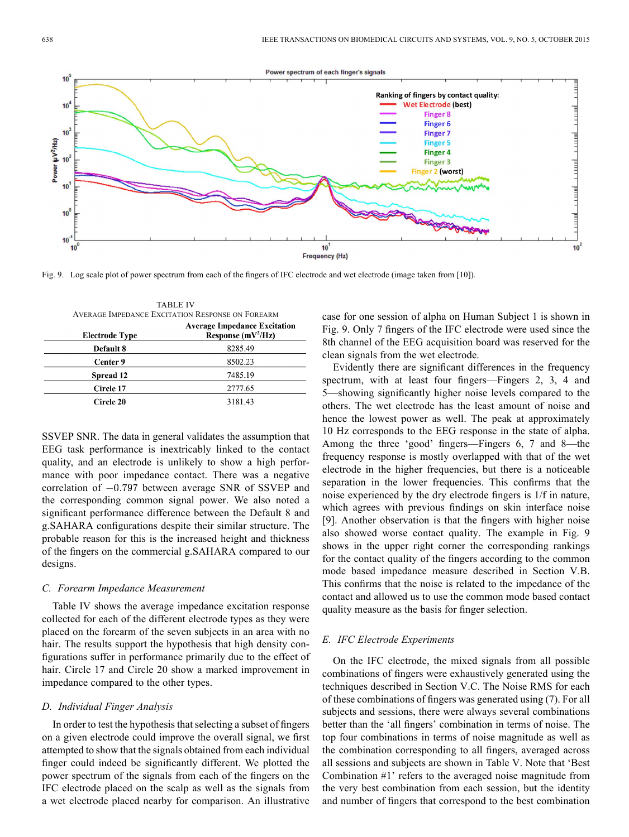

Fig. 9. Log scale plot of power spectrum from each of the fingers of IFC electrode and wet electrode (image taken from [10]).

|                | AVERAGE IMPEDANCE EXCITATION RESPONSE ON FOREARM            |  |  |
|----------------|-------------------------------------------------------------|--|--|
| Electrode Type | <b>Average Impedance Excitation</b><br>Response $(mV^2/Hz)$ |  |  |
| Default 8      | 8285.49                                                     |  |  |
| Center 9       | 8502.23                                                     |  |  |
| Spread 12      | 7485.19                                                     |  |  |
| Circle 17      | 2777.65                                                     |  |  |
| Circle 20      | 3181.43                                                     |  |  |

TABLE IV

SSVEP SNR. The data in general validates the assumption that EEG task performance is inextricably linked to the contact quality, and an electrode is unlikely to show a high performance with poor impedance contact. There was a negative correlation of  $-0.797$  between average SNR of SSVEP and the corresponding common signal power. We also noted a significant performance difference between the Default 8 and g.SAHARA configurations despite their similar structure. The probable reason for this is the increased height and thickness of the fingers on the commercial g.SAHARA compared to our designs.

#### *C. Forearm Impedance Measurement*

Table IV shows the average impedance excitation response collected for each of the different electrode types as they were placed on the forearm of the seven subjects in an area with no hair. The results support the hypothesis that high density configurations suffer in performance primarily due to the effect of hair. Circle 17 and Circle 20 show a marked improvement in impedance compared to the other types.

# *D. Individual Finger Analysis*

In order to test the hypothesis that selecting a subset of fingers on a given electrode could improve the overall signal, we first attempted to show that the signals obtained from each individual finger could indeed be significantly different. We plotted the power spectrum of the signals from each of the fingers on the IFC electrode placed on the scalp as well as the signals from a wet electrode placed nearby for comparison. An illustrative case for one session of alpha on Human Subject 1 is shown in Fig. 9. Only 7 fingers of the IFC electrode were used since the 8th channel of the EEG acquisition board was reserved for the clean signals from the wet electrode.

Evidently there are significant differences in the frequency spectrum, with at least four fingers—Fingers 2, 3, 4 and 5—showing significantly higher noise levels compared to the others. The wet electrode has the least amount of noise and hence the lowest power as well. The peak at approximately 10 Hz corresponds to the EEG response in the state of alpha. Among the three 'good' fingers—Fingers 6, 7 and 8—the frequency response is mostly overlapped with that of the wet electrode in the higher frequencies, but there is a noticeable separation in the lower frequencies. This confirms that the noise experienced by the dry electrode fingers is 1/f in nature, which agrees with previous findings on skin interface noise [9]. Another observation is that the fingers with higher noise also showed worse contact quality. The example in Fig. 9 shows in the upper right corner the corresponding rankings for the contact quality of the fingers according to the common mode based impedance measure described in Section V.B. This confirms that the noise is related to the impedance of the contact and allowed us to use the common mode based contact quality measure as the basis for finger selection.

#### *E. IFC Electrode Experiments*

On the IFC electrode, the mixed signals from all possible combinations of fingers were exhaustively generated using the techniques described in Section V.C. The Noise RMS for each of these combinations of fingers was generated using (7). For all subjects and sessions, there were always several combinations better than the 'all fingers' combination in terms of noise. The top four combinations in terms of noise magnitude as well as the combination corresponding to all fingers, averaged across all sessions and subjects are shown in Table V. Note that 'Best Combination #1' refers to the averaged noise magnitude from the very best combination from each session, but the identity and number of fingers that correspond to the best combination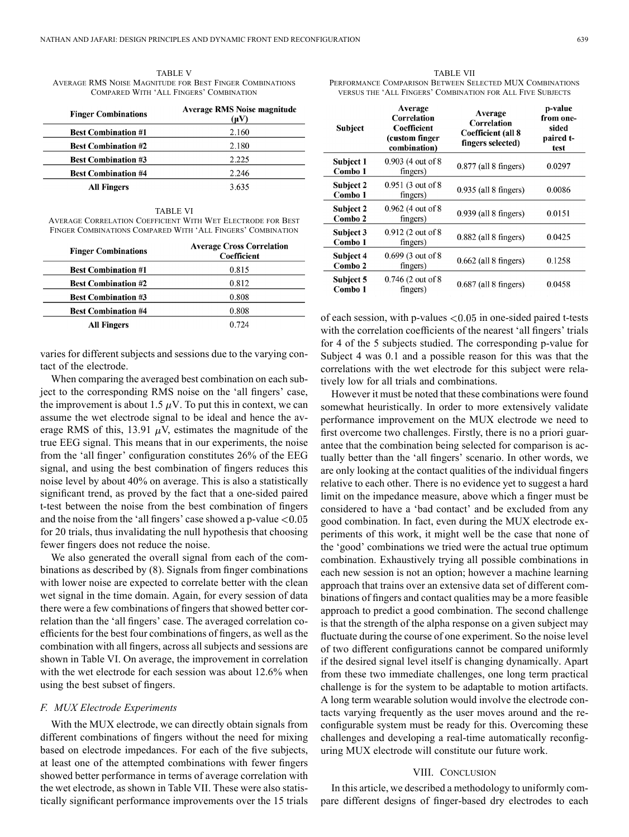| TABLE V                                                  |  |  |
|----------------------------------------------------------|--|--|
| AVERAGE RMS NOISE MAGNITUDE FOR BEST FINGER COMBINATIONS |  |  |
| COMPARED WITH 'ALL FINGERS' COMBINATION                  |  |  |

| <b>Finger Combinations</b> | <b>Average RMS Noise magnitude</b><br>$(\mu V)$ |
|----------------------------|-------------------------------------------------|
| <b>Best Combination #1</b> | 2.160                                           |
| <b>Best Combination #2</b> | 2.180                                           |
| <b>Best Combination #3</b> | 2.225                                           |
| <b>Best Combination #4</b> | 2.246                                           |
| <b>All Fingers</b>         | 3.635                                           |

COMPARED WITH 'ALL FINGERS' COMBINATION

TABLE VI

AVERAGE CORRELATION COEFFICIENT WITH WET ELECTRODE FOR BEST FINGER COMBINATIONS COMPARED WITH 'ALL FINGERS' COMBINATION

| <b>Finger Combinations</b> | <b>Average Cross Correlation</b><br>Coefficient |
|----------------------------|-------------------------------------------------|
| <b>Best Combination #1</b> | 0.815                                           |
| <b>Best Combination #2</b> | 0.812                                           |
| <b>Best Combination #3</b> | 0.808                                           |
| <b>Best Combination #4</b> | 0.808                                           |
| <b>All Fingers</b>         | 0.724                                           |

varies for different subjects and sessions due to the varying contact of the electrode.

When comparing the averaged best combination on each subject to the corresponding RMS noise on the 'all fingers' case, the improvement is about 1.5  $\mu$ V. To put this in context, we can assume the wet electrode signal to be ideal and hence the average RMS of this, 13.91  $\mu$ V, estimates the magnitude of the true EEG signal. This means that in our experiments, the noise from the 'all finger' configuration constitutes 26% of the EEG signal, and using the best combination of fingers reduces this noise level by about 40% on average. This is also a statistically significant trend, as proved by the fact that a one-sided paired t-test between the noise from the best combination of fingers and the noise from the 'all fingers' case showed a p-value  $< 0.05$ for 20 trials, thus invalidating the null hypothesis that choosing fewer fingers does not reduce the noise.

We also generated the overall signal from each of the combinations as described by (8). Signals from finger combinations with lower noise are expected to correlate better with the clean wet signal in the time domain. Again, for every session of data there were a few combinations of fingers that showed better correlation than the 'all fingers' case. The averaged correlation coefficients for the best four combinations of fingers, as well as the combination with all fingers, across all subjects and sessions are shown in Table VI. On average, the improvement in correlation with the wet electrode for each session was about 12.6% when using the best subset of fingers.

## *F. MUX Electrode Experiments*

With the MUX electrode, we can directly obtain signals from different combinations of fingers without the need for mixing based on electrode impedances. For each of the five subjects, at least one of the attempted combinations with fewer fingers showed better performance in terms of average correlation with the wet electrode, as shown in Table VII. These were also statistically significant performance improvements over the 15 trials

TABLE VII PERFORMANCE COMPARISON BETWEEN SELECTED MUX COMBINATIONS VERSUS THE 'ALL FINGERS' COMBINATION FOR ALL FIVE SUBJECTS

| Subject              | Average<br>Correlation<br>Coefficient<br>(custom finger<br>combination) | Average<br>Correlation<br><b>Coefficient</b> (all 8<br>fingers selected) | p-value<br>from one-<br>sided<br>paired t-<br>test |
|----------------------|-------------------------------------------------------------------------|--------------------------------------------------------------------------|----------------------------------------------------|
| Subject 1<br>Combo 1 | $0.903$ (4 out of 8)<br>fingers)                                        | $0.877$ (all 8 fingers)                                                  | 0.0297                                             |
| Subject 2<br>Combo 1 | 0.951 (3 out of 8)<br>fingers)                                          | $0.935$ (all 8 fingers)                                                  | 0.0086                                             |
| Subject 2<br>Combo 2 | $0.962$ (4 out of 8)<br>fingers)                                        | $0.939$ (all 8 fingers)                                                  | 0.0151                                             |
| Subject 3<br>Combo 1 | $0.912(2 \text{ out of } 8)$<br>fingers)                                | $0.882$ (all 8 fingers)                                                  | 0.0425                                             |
| Subject 4<br>Combo 2 | $0.699(3 \text{ out of } 8)$<br>fingers)                                | $0.662$ (all 8 fingers)                                                  | 0.1258                                             |
| Subject 5<br>Combo 1 | $0.746$ (2 out of 8)<br>fingers)                                        | $0.687$ (all 8 fingers)                                                  | 0.0458                                             |

of each session, with p-values  $< 0.05$  in one-sided paired t-tests with the correlation coefficients of the nearest 'all fingers' trials for 4 of the 5 subjects studied. The corresponding p-value for Subject 4 was 0.1 and a possible reason for this was that the correlations with the wet electrode for this subject were relatively low for all trials and combinations.

However it must be noted that these combinations were found somewhat heuristically. In order to more extensively validate performance improvement on the MUX electrode we need to first overcome two challenges. Firstly, there is no a priori guarantee that the combination being selected for comparison is actually better than the 'all fingers' scenario. In other words, we are only looking at the contact qualities of the individual fingers relative to each other. There is no evidence yet to suggest a hard limit on the impedance measure, above which a finger must be considered to have a 'bad contact' and be excluded from any good combination. In fact, even during the MUX electrode experiments of this work, it might well be the case that none of the 'good' combinations we tried were the actual true optimum combination. Exhaustively trying all possible combinations in each new session is not an option; however a machine learning approach that trains over an extensive data set of different combinations of fingers and contact qualities may be a more feasible approach to predict a good combination. The second challenge is that the strength of the alpha response on a given subject may fluctuate during the course of one experiment. So the noise level of two different configurations cannot be compared uniformly if the desired signal level itself is changing dynamically. Apart from these two immediate challenges, one long term practical challenge is for the system to be adaptable to motion artifacts. A long term wearable solution would involve the electrode contacts varying frequently as the user moves around and the reconfigurable system must be ready for this. Overcoming these challenges and developing a real-time automatically reconfiguring MUX electrode will constitute our future work.

#### VIII. CONCLUSION

In this article, we described a methodology to uniformly compare different designs of finger-based dry electrodes to each